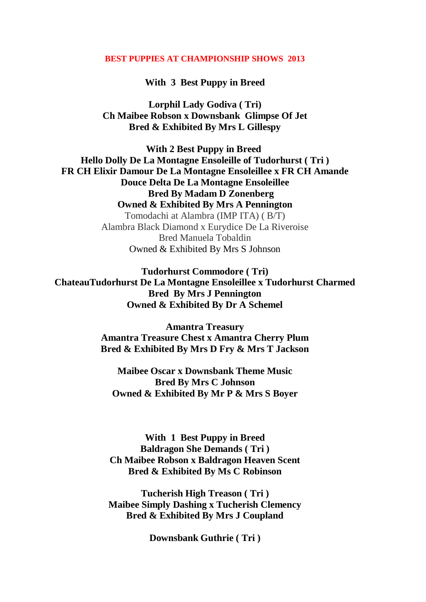## **BEST PUPPIES AT CHAMPIONSHIP SHOWS 2013**

**With 3 Best Puppy in Breed**

**Lorphil Lady Godiva ( Tri) Ch Maibee Robson x Downsbank Glimpse Of Jet Bred & Exhibited By Mrs L Gillespy**

**With 2 Best Puppy in Breed Hello Dolly De La Montagne Ensoleille of Tudorhurst ( Tri ) FR CH Elixir Damour De La Montagne Ensoleillee x FR CH Amande Douce Delta De La Montagne Ensoleillee Bred By Madam D Zonenberg Owned & Exhibited By Mrs A Pennington** Tomodachi at Alambra (IMP ITA) ( B/T) Alambra Black Diamond x Eurydice De La Riveroise Bred Manuela Tobaldin Owned & Exhibited By Mrs S Johnson

**Tudorhurst Commodore ( Tri) ChateauTudorhurst De La Montagne Ensoleillee x Tudorhurst Charmed Bred By Mrs J Pennington Owned & Exhibited By Dr A Schemel**

> **Amantra Treasury Amantra Treasure Chest x Amantra Cherry Plum Bred & Exhibited By Mrs D Fry & Mrs T Jackson**

**Maibee Oscar x Downsbank Theme Music Bred By Mrs C Johnson Owned & Exhibited By Mr P & Mrs S Boyer**

**With 1 Best Puppy in Breed Baldragon She Demands ( Tri ) Ch Maibee Robson x Baldragon Heaven Scent Bred & Exhibited By Ms C Robinson**

**Tucherish High Treason ( Tri ) Maibee Simply Dashing x Tucherish Clemency Bred & Exhibited By Mrs J Coupland**

**Downsbank Guthrie ( Tri )**